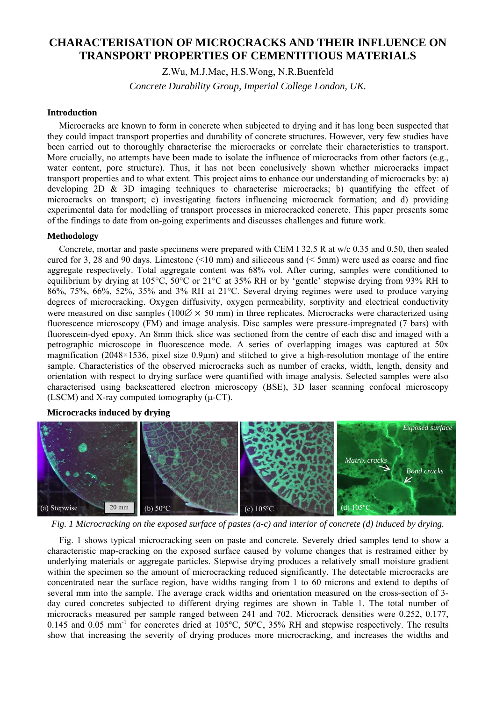# **CHARACTERISATION OF MICROCRACKS AND THEIR INFLUENCE ON TRANSPORT PROPERTIES OF CEMENTITIOUS MATERIALS**

Z.Wu, M.J.Mac, H.S.Wong, N.R.Buenfeld

*Concrete Durability Group, Imperial College London, UK.* 

### **Introduction**

Microcracks are known to form in concrete when subjected to drying and it has long been suspected that they could impact transport properties and durability of concrete structures. However, very few studies have been carried out to thoroughly characterise the microcracks or correlate their characteristics to transport. More crucially, no attempts have been made to isolate the influence of microcracks from other factors (e.g., water content, pore structure). Thus, it has not been conclusively shown whether microcracks impact transport properties and to what extent. This project aims to enhance our understanding of microcracks by: a) developing 2D  $\&$  3D imaging techniques to characterise microcracks; b) quantifying the effect of microcracks on transport; c) investigating factors influencing microcrack formation; and d) providing experimental data for modelling of transport processes in microcracked concrete. This paper presents some of the findings to date from on-going experiments and discusses challenges and future work.

### **Methodology**

Concrete, mortar and paste specimens were prepared with CEM I 32.5 R at w/c 0.35 and 0.50, then sealed cured for 3, 28 and 90 days. Limestone (<10 mm) and siliceous sand (< 5mm) were used as coarse and fine aggregate respectively. Total aggregate content was 68% vol. After curing, samples were conditioned to equilibrium by drying at 105°C, 50°C or 21°C at 35% RH or by 'gentle' stepwise drying from 93% RH to 86%, 75%, 66%, 52%, 35% and 3% RH at 21°C. Several drying regimes were used to produce varying degrees of microcracking. Oxygen diffusivity, oxygen permeability, sorptivity and electrical conductivity were measured on disc samples (100 $\varnothing \times 50$  mm) in three replicates. Microcracks were characterized using fluorescence microscopy (FM) and image analysis. Disc samples were pressure-impregnated (7 bars) with fluorescein-dyed epoxy. An 8mm thick slice was sectioned from the centre of each disc and imaged with a petrographic microscope in fluorescence mode. A series of overlapping images was captured at 50x magnification (2048×1536, pixel size 0.9µm) and stitched to give a high-resolution montage of the entire sample. Characteristics of the observed microcracks such as number of cracks, width, length, density and orientation with respect to drying surface were quantified with image analysis. Selected samples were also characterised using backscattered electron microscopy (BSE), 3D laser scanning confocal microscopy (LSCM) and X-ray computed tomography  $(\mu$ -CT).

**Microcracks induced by drying** 



*Fig. 1 Microcracking on the exposed surface of pastes (a-c) and interior of concrete (d) induced by drying.* 

Fig. 1 shows typical microcracking seen on paste and concrete. Severely dried samples tend to show a characteristic map-cracking on the exposed surface caused by volume changes that is restrained either by underlying materials or aggregate particles. Stepwise drying produces a relatively small moisture gradient within the specimen so the amount of microcracking reduced significantly. The detectable microcracks are concentrated near the surface region, have widths ranging from 1 to 60 microns and extend to depths of several mm into the sample. The average crack widths and orientation measured on the cross-section of 3 day cured concretes subjected to different drying regimes are shown in Table 1. The total number of microcracks measured per sample ranged between 241 and 702. Microcrack densities were 0.252, 0.177, 0.145 and 0.05 mm<sup>-1</sup> for concretes dried at 105°C, 50°C, 35% RH and stepwise respectively. The results show that increasing the severity of drying produces more microcracking, and increases the widths and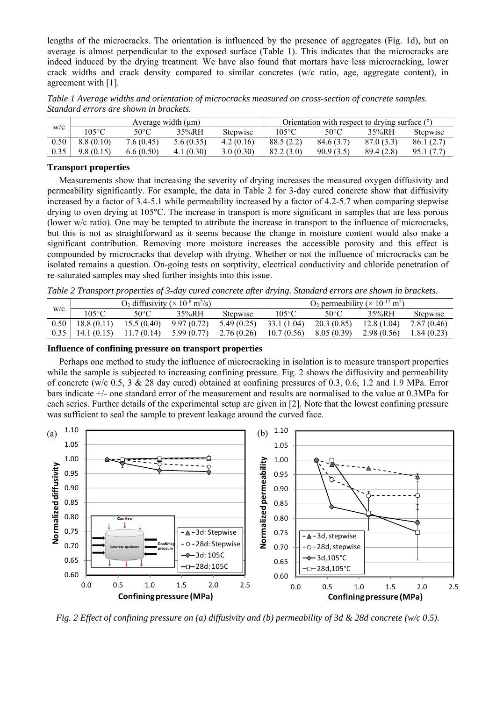lengths of the microcracks. The orientation is influenced by the presence of aggregates (Fig. 1d), but on average is almost perpendicular to the exposed surface (Table 1). This indicates that the microcracks are indeed induced by the drying treatment. We have also found that mortars have less microcracking, lower crack widths and crack density compared to similar concretes (w/c ratio, age, aggregate content), in agreement with [1].

*Table 1 Average widths and orientation of microcracks measured on cross-section of concrete samples. Standard errors are shown in brackets.* 

| W/C  | Average width $(\mu m)$ |                |           |                 | Orientation with respect to drying surface (°) |           |            |                 |
|------|-------------------------|----------------|-----------|-----------------|------------------------------------------------|-----------|------------|-----------------|
|      | 105°C                   | $50^{\circ}$ C | 35%RH     | <b>Stepwise</b> | $105^{\circ}$ C                                | 50°C      | 35%RH      | <b>Stepwise</b> |
| 0.50 | 8.8(0.10)               | 7.6(0.45)      | 5.6(0.35) | 4.2(0.16)       | 88.5(2.2)                                      | 84.6(3.7) | 87.0(3.3)  | 86.1(2.7)       |
| 0.35 | 9.8(0.15)               | 6.6(0.50)      | 4.1(0.30) | 3.0(0.30)       | 87.2 (3.0)                                     | 90.9(3.5) | 89.4 (2.8) | 95.1 (7.7)      |

## **Transport properties**

Measurements show that increasing the severity of drying increases the measured oxygen diffusivity and permeability significantly. For example, the data in Table 2 for 3-day cured concrete show that diffusivity increased by a factor of 3.4-5.1 while permeability increased by a factor of 4.2-5.7 when comparing stepwise drying to oven drying at 105°C. The increase in transport is more significant in samples that are less porous (lower w/c ratio). One may be tempted to attribute the increase in transport to the influence of microcracks, but this is not as straightforward as it seems because the change in moisture content would also make a significant contribution. Removing more moisture increases the accessible porosity and this effect is compounded by microcracks that develop with drying. Whether or not the influence of microcracks can be isolated remains a question. On-going tests on sorptivity, electrical conductivity and chloride penetration of re-saturated samples may shed further insights into this issue.

*Table 2 Transport properties of 3-day cured concrete after drying. Standard errors are shown in brackets.* 

| W/C | $O_2$ diffusivity ( $\times$ 10 <sup>-8</sup> m <sup>2</sup> /s) |            |            |                          | O <sub>2</sub> permeability ( $\times$ 10 <sup>-17</sup> m <sup>2</sup> ) |             |            |             |
|-----|------------------------------------------------------------------|------------|------------|--------------------------|---------------------------------------------------------------------------|-------------|------------|-------------|
|     | 105°C                                                            | 50°C       | 35%RH      | Stepwise                 | $105^{\circ}$ C                                                           | 50°C        | 35%RH      | Stepwise    |
|     | $0.50$   18.8 (0.11)                                             | 15.5(0.40) | 9.97(0.72) | $5.49(0.25)$ 33.1 (1.04) |                                                                           | 20.3 (0.85) | 12.8(1.04) | 7.87 (0.46) |
|     | 14.1(0.15)                                                       | 11.7(0.14) | 5.99(0.77) | 2.76(0.26)               | 10.7(0.56)                                                                | 8.05 (0.39) | 2.98(0.56) | 1.84 (0.23) |

### **Influence of confining pressure on transport properties**

Perhaps one method to study the influence of microcracking in isolation is to measure transport properties while the sample is subjected to increasing confining pressure. Fig. 2 shows the diffusivity and permeability of concrete (w/c 0.5, 3  $\&$  28 day cured) obtained at confining pressures of 0.3, 0.6, 1.2 and 1.9 MPa. Error bars indicate +/- one standard error of the measurement and results are normalised to the value at 0.3MPa for each series. Further details of the experimental setup are given in [2]. Note that the lowest confining pressure was sufficient to seal the sample to prevent leakage around the curved face.



*Fig. 2 Effect of confining pressure on (a) diffusivity and (b) permeability of 3d & 28d concrete (w/c 0.5).*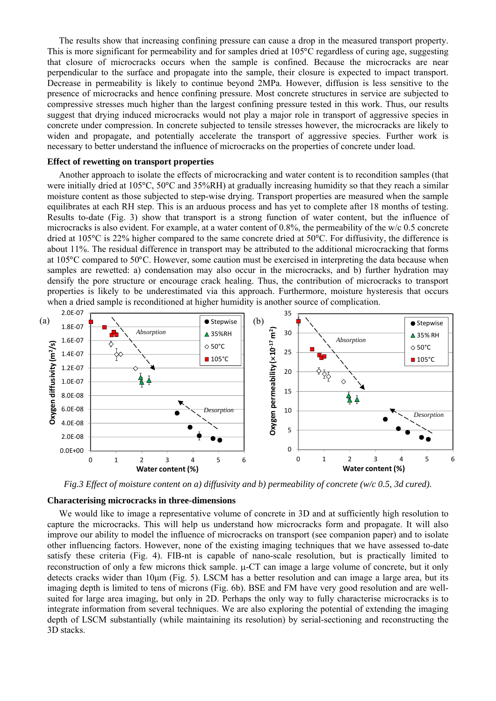The results show that increasing confining pressure can cause a drop in the measured transport property. This is more significant for permeability and for samples dried at 105°C regardless of curing age, suggesting that closure of microcracks occurs when the sample is confined. Because the microcracks are near perpendicular to the surface and propagate into the sample, their closure is expected to impact transport. Decrease in permeability is likely to continue beyond 2MPa. However, diffusion is less sensitive to the presence of microcracks and hence confining pressure. Most concrete structures in service are subjected to compressive stresses much higher than the largest confining pressure tested in this work. Thus, our results suggest that drying induced microcracks would not play a major role in transport of aggressive species in concrete under compression. In concrete subjected to tensile stresses however, the microcracks are likely to widen and propagate, and potentially accelerate the transport of aggressive species. Further work is necessary to better understand the influence of microcracks on the properties of concrete under load.

### **Effect of rewetting on transport properties**

Another approach to isolate the effects of microcracking and water content is to recondition samples (that were initially dried at 105°C, 50°C and 35%RH) at gradually increasing humidity so that they reach a similar moisture content as those subjected to step-wise drying. Transport properties are measured when the sample equilibrates at each RH step. This is an arduous process and has yet to complete after 18 months of testing. Results to-date (Fig. 3) show that transport is a strong function of water content, but the influence of microcracks is also evident. For example, at a water content of 0.8%, the permeability of the w/c 0.5 concrete dried at 105°C is 22% higher compared to the same concrete dried at 50°C. For diffusivity, the difference is about 11%. The residual difference in transport may be attributed to the additional microcracking that forms at 105°C compared to 50°C. However, some caution must be exercised in interpreting the data because when samples are rewetted: a) condensation may also occur in the microcracks, and b) further hydration may densify the pore structure or encourage crack healing. Thus, the contribution of microcracks to transport properties is likely to be underestimated via this approach. Furthermore, moisture hysteresis that occurs when a dried sample is reconditioned at higher humidity is another source of complication.



*Fig.3 Effect of moisture content on a) diffusivity and b) permeability of concrete (w/c 0.5, 3d cured).* 

#### **Characterising microcracks in three-dimensions**

We would like to image a representative volume of concrete in 3D and at sufficiently high resolution to capture the microcracks. This will help us understand how microcracks form and propagate. It will also improve our ability to model the influence of microcracks on transport (see companion paper) and to isolate other influencing factors. However, none of the existing imaging techniques that we have assessed to-date satisfy these criteria (Fig. 4). FIB-nt is capable of nano-scale resolution, but is practically limited to reconstruction of only a few microns thick sample.  $\mu$ -CT can image a large volume of concrete, but it only detects cracks wider than 10μm (Fig. 5). LSCM has a better resolution and can image a large area, but its imaging depth is limited to tens of microns (Fig. 6b). BSE and FM have very good resolution and are wellsuited for large area imaging, but only in 2D. Perhaps the only way to fully characterise microcracks is to integrate information from several techniques. We are also exploring the potential of extending the imaging depth of LSCM substantially (while maintaining its resolution) by serial-sectioning and reconstructing the 3D stacks.